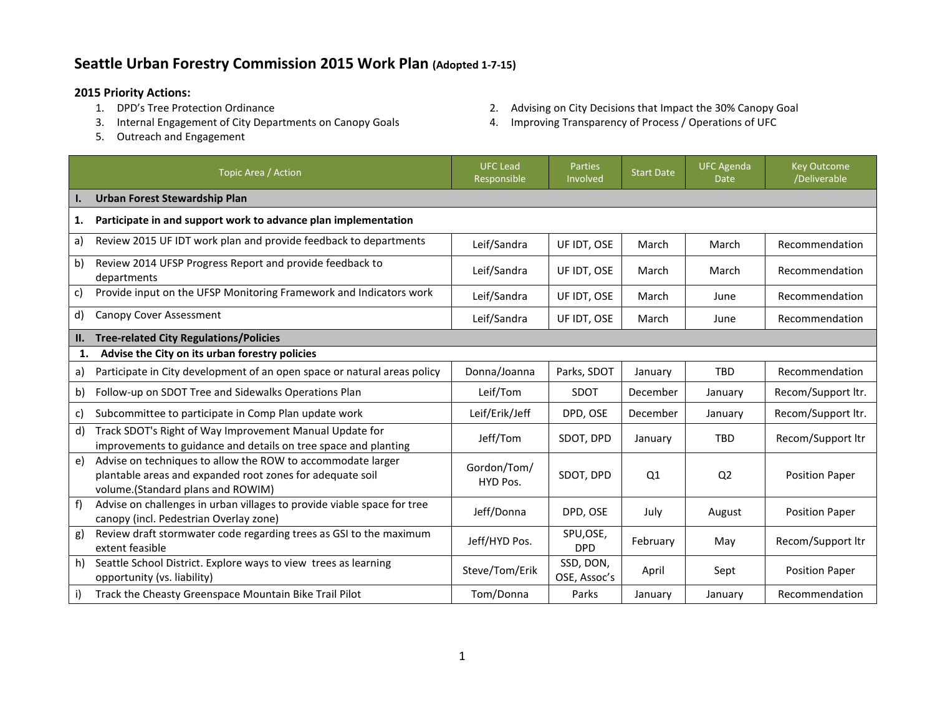## **Seattle Urban Forestry Commission 2015 Work Plan (Adopted 1-7-15)**

- **2015 Priority Actions:**
	- 3. Internal Engagement of City Departments on Canopy Goals 4. Improving Transparency of Process / Operations of UFC
	- 5. Outreach and Engagement
- 2. Advising on City Decisions that Impact the 30% Canopy Goal
- 

|                | Topic Area / Action                                                                                                                                           | <b>UFC Lead</b><br>Responsible | <b>Parties</b><br>Involved | <b>Start Date</b> | <b>UFC Agenda</b><br><b>Date</b> | <b>Key Outcome</b><br>/Deliverable |  |
|----------------|---------------------------------------------------------------------------------------------------------------------------------------------------------------|--------------------------------|----------------------------|-------------------|----------------------------------|------------------------------------|--|
| $\mathbf{l}$ . | <b>Urban Forest Stewardship Plan</b>                                                                                                                          |                                |                            |                   |                                  |                                    |  |
| 1.             | Participate in and support work to advance plan implementation                                                                                                |                                |                            |                   |                                  |                                    |  |
| a)             | Review 2015 UF IDT work plan and provide feedback to departments                                                                                              | Leif/Sandra                    | UF IDT, OSE                | March             | March                            | Recommendation                     |  |
| b)             | Review 2014 UFSP Progress Report and provide feedback to<br>departments                                                                                       | Leif/Sandra                    | UF IDT, OSE                | March             | March                            | Recommendation                     |  |
| C)             | Provide input on the UFSP Monitoring Framework and Indicators work                                                                                            | Leif/Sandra                    | UF IDT, OSE                | March             | June                             | Recommendation                     |  |
| d)             | <b>Canopy Cover Assessment</b>                                                                                                                                | Leif/Sandra                    | UF IDT, OSE                | March             | June                             | Recommendation                     |  |
| П.             | <b>Tree-related City Regulations/Policies</b>                                                                                                                 |                                |                            |                   |                                  |                                    |  |
| 1.             | Advise the City on its urban forestry policies                                                                                                                |                                |                            |                   |                                  |                                    |  |
| a)             | Participate in City development of an open space or natural areas policy                                                                                      | Donna/Joanna                   | Parks, SDOT                | January           | <b>TBD</b>                       | Recommendation                     |  |
| b)             | Follow-up on SDOT Tree and Sidewalks Operations Plan                                                                                                          | Leif/Tom                       | SDOT                       | December          | January                          | Recom/Support ltr.                 |  |
| C)             | Subcommittee to participate in Comp Plan update work                                                                                                          | Leif/Erik/Jeff                 | DPD, OSE                   | December          | January                          | Recom/Support ltr.                 |  |
| d)             | Track SDOT's Right of Way Improvement Manual Update for<br>improvements to guidance and details on tree space and planting                                    | Jeff/Tom                       | SDOT, DPD                  | January           | <b>TBD</b>                       | Recom/Support ltr                  |  |
| e)             | Advise on techniques to allow the ROW to accommodate larger<br>plantable areas and expanded root zones for adequate soil<br>volume.(Standard plans and ROWIM) | Gordon/Tom/<br>HYD Pos.        | SDOT, DPD                  | Q <sub>1</sub>    | Q <sub>2</sub>                   | <b>Position Paper</b>              |  |
| f)             | Advise on challenges in urban villages to provide viable space for tree<br>canopy (incl. Pedestrian Overlay zone)                                             | Jeff/Donna                     | DPD, OSE                   | July              | August                           | <b>Position Paper</b>              |  |
| g)             | Review draft stormwater code regarding trees as GSI to the maximum<br>extent feasible                                                                         | Jeff/HYD Pos.                  | SPU,OSE,<br><b>DPD</b>     | February          | May                              | Recom/Support ltr                  |  |
| h)             | Seattle School District. Explore ways to view trees as learning<br>opportunity (vs. liability)                                                                | Steve/Tom/Erik                 | SSD, DON,<br>OSE, Assoc's  | April             | Sept                             | <b>Position Paper</b>              |  |
| i)             | Track the Cheasty Greenspace Mountain Bike Trail Pilot                                                                                                        | Tom/Donna                      | Parks                      | January           | January                          | Recommendation                     |  |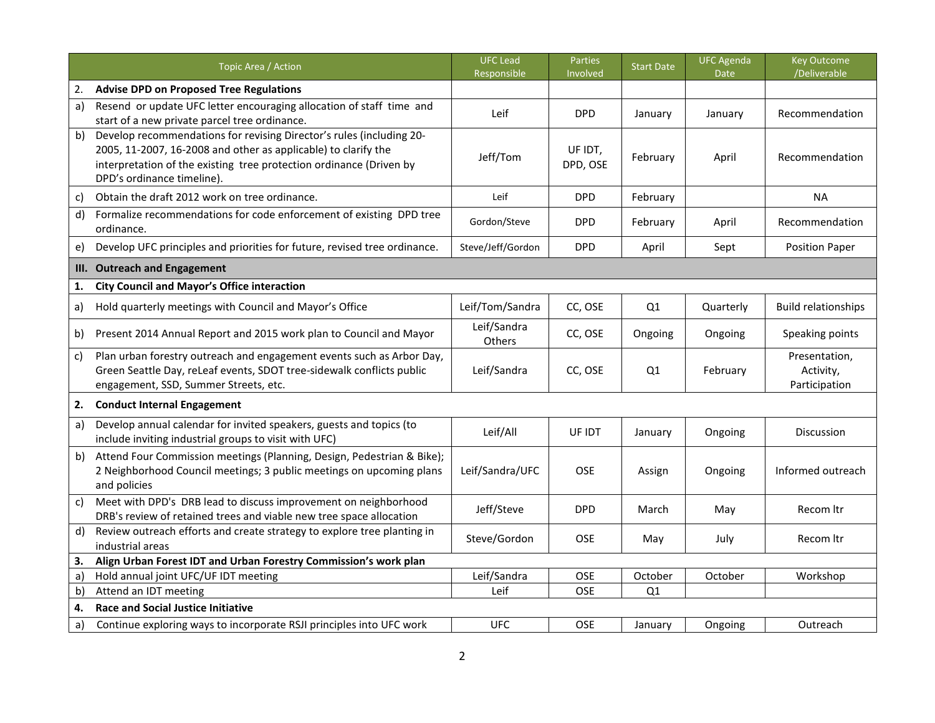|    | Topic Area / Action                                                                                                                                                                                                                         | <b>UFC Lead</b><br>Responsible | Parties<br>Involved | <b>Start Date</b> | <b>UFC Agenda</b><br><b>Date</b> | <b>Key Outcome</b><br>/Deliverable          |
|----|---------------------------------------------------------------------------------------------------------------------------------------------------------------------------------------------------------------------------------------------|--------------------------------|---------------------|-------------------|----------------------------------|---------------------------------------------|
| 2. | <b>Advise DPD on Proposed Tree Regulations</b>                                                                                                                                                                                              |                                |                     |                   |                                  |                                             |
| a) | Resend or update UFC letter encouraging allocation of staff time and<br>start of a new private parcel tree ordinance.                                                                                                                       | Leif                           | <b>DPD</b>          | January           | January                          | Recommendation                              |
| b) | Develop recommendations for revising Director's rules (including 20-<br>2005, 11-2007, 16-2008 and other as applicable) to clarify the<br>interpretation of the existing tree protection ordinance (Driven by<br>DPD's ordinance timeline). | Jeff/Tom                       | UF IDT,<br>DPD, OSE | February          | April                            | Recommendation                              |
| c) | Obtain the draft 2012 work on tree ordinance.                                                                                                                                                                                               | Leif                           | <b>DPD</b>          | February          |                                  | <b>NA</b>                                   |
| d) | Formalize recommendations for code enforcement of existing DPD tree<br>ordinance.                                                                                                                                                           | Gordon/Steve                   | <b>DPD</b>          | February          | April                            | Recommendation                              |
| e) | Develop UFC principles and priorities for future, revised tree ordinance.                                                                                                                                                                   | Steve/Jeff/Gordon              | <b>DPD</b>          | April             | Sept                             | <b>Position Paper</b>                       |
| Ш. | <b>Outreach and Engagement</b>                                                                                                                                                                                                              |                                |                     |                   |                                  |                                             |
| 1. | <b>City Council and Mayor's Office interaction</b>                                                                                                                                                                                          |                                |                     |                   |                                  |                                             |
| a) | Hold quarterly meetings with Council and Mayor's Office                                                                                                                                                                                     | Leif/Tom/Sandra                | CC, OSE             | Q <sub>1</sub>    | Quarterly                        | <b>Build relationships</b>                  |
| b) | Present 2014 Annual Report and 2015 work plan to Council and Mayor                                                                                                                                                                          | Leif/Sandra<br>Others          | CC, OSE             | Ongoing           | Ongoing                          | Speaking points                             |
| c) | Plan urban forestry outreach and engagement events such as Arbor Day,<br>Green Seattle Day, reLeaf events, SDOT tree-sidewalk conflicts public<br>engagement, SSD, Summer Streets, etc.                                                     | Leif/Sandra                    | CC, OSE             | Q1                | February                         | Presentation,<br>Activity,<br>Participation |
| 2. | <b>Conduct Internal Engagement</b>                                                                                                                                                                                                          |                                |                     |                   |                                  |                                             |
| a) | Develop annual calendar for invited speakers, guests and topics (to<br>include inviting industrial groups to visit with UFC)                                                                                                                | Leif/All                       | UF IDT              | January           | Ongoing                          | <b>Discussion</b>                           |
| b) | Attend Four Commission meetings (Planning, Design, Pedestrian & Bike);<br>2 Neighborhood Council meetings; 3 public meetings on upcoming plans<br>and policies                                                                              | Leif/Sandra/UFC                | <b>OSE</b>          | Assign            | Ongoing                          | Informed outreach                           |
| c) | Meet with DPD's DRB lead to discuss improvement on neighborhood<br>DRB's review of retained trees and viable new tree space allocation                                                                                                      | Jeff/Steve                     | <b>DPD</b>          | March             | May                              | Recom Itr                                   |
| d) | Review outreach efforts and create strategy to explore tree planting in<br>industrial areas                                                                                                                                                 | Steve/Gordon                   | <b>OSE</b>          | May               | July                             | Recom Itr                                   |
| 3. | Align Urban Forest IDT and Urban Forestry Commission's work plan                                                                                                                                                                            |                                |                     |                   |                                  |                                             |
| a) | Hold annual joint UFC/UF IDT meeting                                                                                                                                                                                                        | Leif/Sandra                    | OSE                 | October           | October                          | Workshop                                    |
| b) | Attend an IDT meeting                                                                                                                                                                                                                       | Leif                           | OSE                 | Q1                |                                  |                                             |
| 4. | <b>Race and Social Justice Initiative</b>                                                                                                                                                                                                   |                                |                     |                   |                                  |                                             |
| a) | Continue exploring ways to incorporate RSJI principles into UFC work                                                                                                                                                                        | <b>UFC</b>                     | OSE                 | January           | Ongoing                          | Outreach                                    |